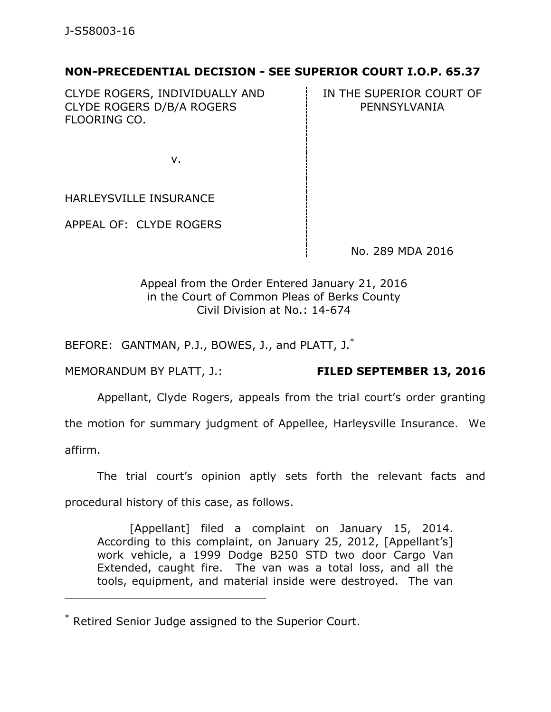## **NON-PRECEDENTIAL DECISION - SEE SUPERIOR COURT I.O.P. 65.37**

CLYDE ROGERS, INDIVIDUALLY AND CLYDE ROGERS D/B/A ROGERS FLOORING CO.

IN THE SUPERIOR COURT OF PENNSYLVANIA

v.

HARLEYSVILLE INSURANCE

APPEAL OF: CLYDE ROGERS

No. 289 MDA 2016

Appeal from the Order Entered January 21, 2016 in the Court of Common Pleas of Berks County Civil Division at No.: 14-674

BEFORE: GANTMAN, P.J., BOWES, J., and PLATT, J.<sup>\*</sup>

MEMORANDUM BY PLATT, J.: **FILED SEPTEMBER 13, 2016**

Appellant, Clyde Rogers, appeals from the trial court's order granting

the motion for summary judgment of Appellee, Harleysville Insurance. We

affirm.

The trial court's opinion aptly sets forth the relevant facts and

procedural history of this case, as follows.

\_\_\_\_\_\_\_\_\_\_\_\_\_\_\_\_\_\_\_\_\_\_\_\_\_\_\_\_\_\_\_\_\_\_\_\_\_\_\_\_\_\_\_\_

[Appellant] filed a complaint on January 15, 2014. According to this complaint, on January 25, 2012, [Appellant's] work vehicle, a 1999 Dodge B250 STD two door Cargo Van Extended, caught fire. The van was a total loss, and all the tools, equipment, and material inside were destroyed. The van

<sup>\*</sup> Retired Senior Judge assigned to the Superior Court.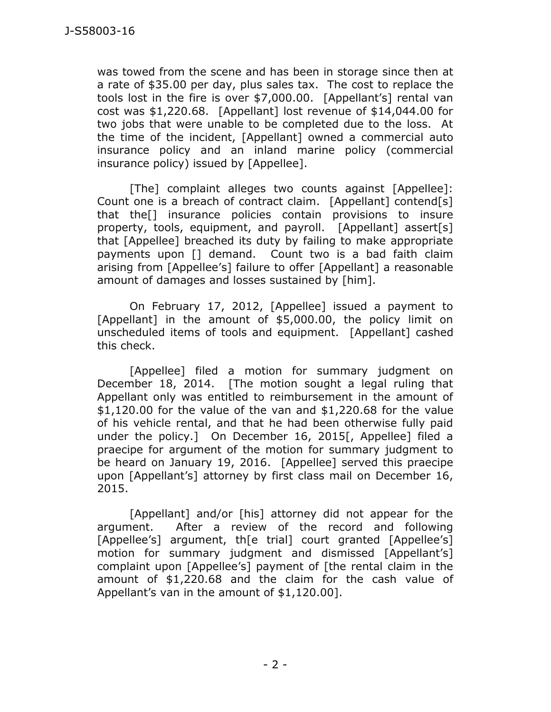was towed from the scene and has been in storage since then at a rate of \$35.00 per day, plus sales tax. The cost to replace the tools lost in the fire is over \$7,000.00. [Appellant's] rental van cost was \$1,220.68. [Appellant] lost revenue of \$14,044.00 for two jobs that were unable to be completed due to the loss. At the time of the incident, [Appellant] owned a commercial auto insurance policy and an inland marine policy (commercial insurance policy) issued by [Appellee].

[The] complaint alleges two counts against [Appellee]: Count one is a breach of contract claim. [Appellant] contend[s] that the[] insurance policies contain provisions to insure property, tools, equipment, and payroll. [Appellant] assert[s] that [Appellee] breached its duty by failing to make appropriate payments upon [] demand. Count two is a bad faith claim arising from [Appellee's] failure to offer [Appellant] a reasonable amount of damages and losses sustained by [him].

On February 17, 2012, [Appellee] issued a payment to [Appellant] in the amount of \$5,000.00, the policy limit on unscheduled items of tools and equipment. [Appellant] cashed this check.

[Appellee] filed a motion for summary judgment on December 18, 2014. [The motion sought a legal ruling that Appellant only was entitled to reimbursement in the amount of  $$1,120.00$  for the value of the van and  $$1,220.68$  for the value of his vehicle rental, and that he had been otherwise fully paid under the policy.] On December 16, 2015[, Appellee] filed a praecipe for argument of the motion for summary judgment to be heard on January 19, 2016. [Appellee] served this praecipe upon [Appellant's] attorney by first class mail on December 16, 2015.

[Appellant] and/or [his] attorney did not appear for the argument. After a review of the record and following [Appellee's] argument, the trial] court granted [Appellee's] motion for summary judgment and dismissed [Appellant's] complaint upon [Appellee's] payment of [the rental claim in the amount of \$1,220.68 and the claim for the cash value of Appellant's van in the amount of \$1,120.00].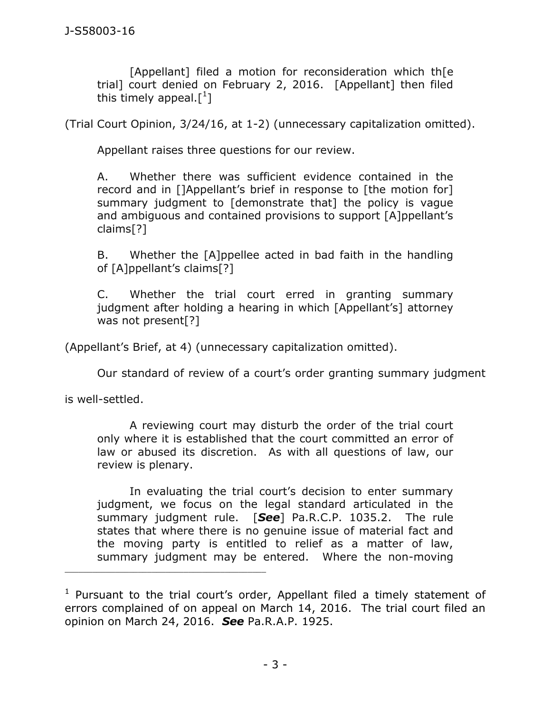[Appellant] filed a motion for reconsideration which th[e trial] court denied on February 2, 2016. [Appellant] then filed this timely appeal.[ $^1$ ]

(Trial Court Opinion, 3/24/16, at 1-2) (unnecessary capitalization omitted).

Appellant raises three questions for our review.

A. Whether there was sufficient evidence contained in the record and in []Appellant's brief in response to [the motion for] summary judgment to [demonstrate that] the policy is vague and ambiguous and contained provisions to support [A]ppellant's claims[?]

B. Whether the [A]ppellee acted in bad faith in the handling of [A]ppellant's claims[?]

C. Whether the trial court erred in granting summary judgment after holding a hearing in which [Appellant's] attorney was not present[?]

(Appellant's Brief, at 4) (unnecessary capitalization omitted).

Our standard of review of a court's order granting summary judgment

is well-settled.

\_\_\_\_\_\_\_\_\_\_\_\_\_\_\_\_\_\_\_\_\_\_\_\_\_\_\_\_\_\_\_\_\_\_\_\_\_\_\_\_\_\_\_\_

A reviewing court may disturb the order of the trial court only where it is established that the court committed an error of law or abused its discretion. As with all questions of law, our review is plenary.

In evaluating the trial court's decision to enter summary judgment, we focus on the legal standard articulated in the summary judgment rule. [*See*] [Pa.R.C.P. 1035.2.](https://1.next.westlaw.com/Link/Document/FullText?findType=L&pubNum=1000781&cite=PASTRCPR1035.2&originatingDoc=I64b6c281e52f11e4a795ac035416da91&refType=LQ&originationContext=document&transitionType=DocumentItem&contextData=(sc.Search)) The rule states that where there is no genuine issue of material fact and the moving party is entitled to relief as a matter of law, summary judgment may be entered. Where the non-moving

<sup>&</sup>lt;sup>1</sup> Pursuant to the trial court's order, Appellant filed a timely statement of errors complained of on appeal on March 14, 2016. The trial court filed an opinion on March 24, 2016. *See* Pa.R.A.P. 1925.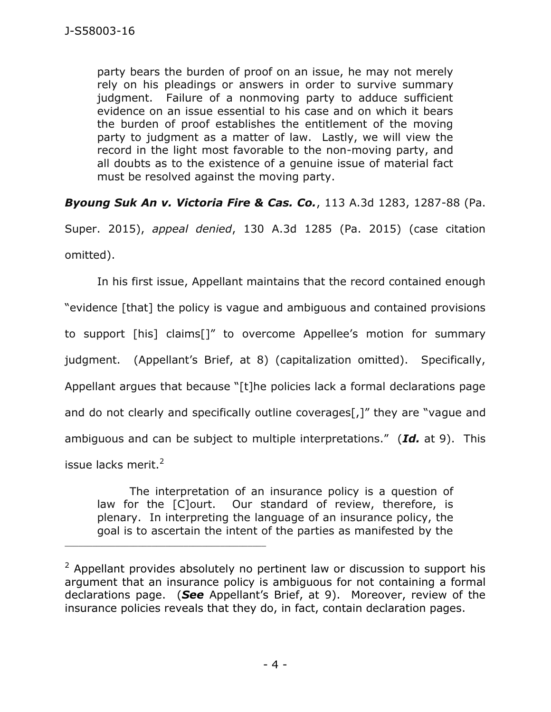party bears the burden of proof on an issue, he may not merely rely on his pleadings or answers in order to survive summary judgment. Failure of a nonmoving party to adduce sufficient evidence on an issue essential to his case and on which it bears the burden of proof establishes the entitlement of the moving party to judgment as a matter of law. Lastly, we will view the record in the light most favorable to the non-moving party, and all doubts as to the existence of a genuine issue of material fact must be resolved against the moving party.

*Byoung Suk An v. Victoria Fire & Cas. Co.*, 113 A.3d 1283, 1287-88 (Pa.

Super. 2015), *appeal denied*, 130 A.3d 1285 (Pa. 2015) (case citation omitted).

In his first issue, Appellant maintains that the record contained enough "evidence [that] the policy is vague and ambiguous and contained provisions to support [his] claims[]" to overcome Appellee's motion for summary judgment. (Appellant's Brief, at 8) (capitalization omitted). Specifically, Appellant argues that because "[t]he policies lack a formal declarations page and do not clearly and specifically outline coverages[,]" they are "vague and ambiguous and can be subject to multiple interpretations." (*Id.* at 9). This issue lacks merit. $2$ 

The interpretation of an insurance policy is a question of law for the [C]ourt. Our standard of review, therefore, is plenary. In interpreting the language of an insurance policy, the goal is to ascertain the intent of the parties as manifested by the

\_\_\_\_\_\_\_\_\_\_\_\_\_\_\_\_\_\_\_\_\_\_\_\_\_\_\_\_\_\_\_\_\_\_\_\_\_\_\_\_\_\_\_\_

 $2$  Appellant provides absolutely no pertinent law or discussion to support his argument that an insurance policy is ambiguous for not containing a formal declarations page. (*See* Appellant's Brief, at 9). Moreover, review of the insurance policies reveals that they do, in fact, contain declaration pages.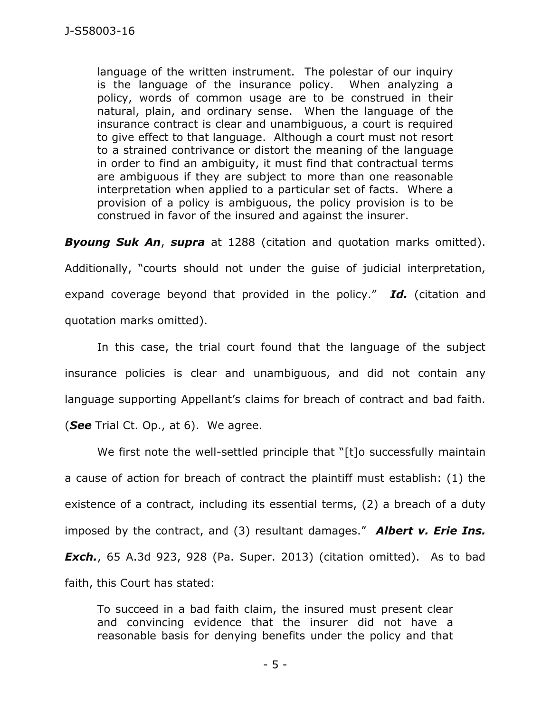language of the written instrument. The polestar of our inquiry is the language of the insurance policy. When analyzing a policy, words of common usage are to be construed in their natural, plain, and ordinary sense. When the language of the insurance contract is clear and unambiguous, a court is required to give effect to that language. Although a court must not resort to a strained contrivance or distort the meaning of the language in order to find an ambiguity, it must find that contractual terms are ambiguous if they are subject to more than one reasonable interpretation when applied to a particular set of facts. Where a provision of a policy is ambiguous, the policy provision is to be construed in favor of the insured and against the insurer.

*Byoung Suk An*, *supra* at 1288 (citation and quotation marks omitted). Additionally, "courts should not under the guise of judicial interpretation, expand coverage beyond that provided in the policy." *Id.* (citation and quotation marks omitted).

In this case, the trial court found that the language of the subject insurance policies is clear and unambiguous, and did not contain any language supporting Appellant's claims for breach of contract and bad faith. (*See* Trial Ct. Op., at 6). We agree.

We first note the well-settled principle that "[t]o successfully maintain a cause of action for breach of contract the plaintiff must establish: (1) the existence of a contract, including its essential terms, (2) a breach of a duty imposed by the contract, and (3) resultant damages." *Albert v. Erie Ins. Exch.*, 65 A.3d 923, 928 (Pa. Super. 2013) (citation omitted). As to bad faith, this Court has stated:

To succeed in a bad faith claim, the insured must present clear and convincing evidence that the insurer did not have a reasonable basis for denying benefits under the policy and that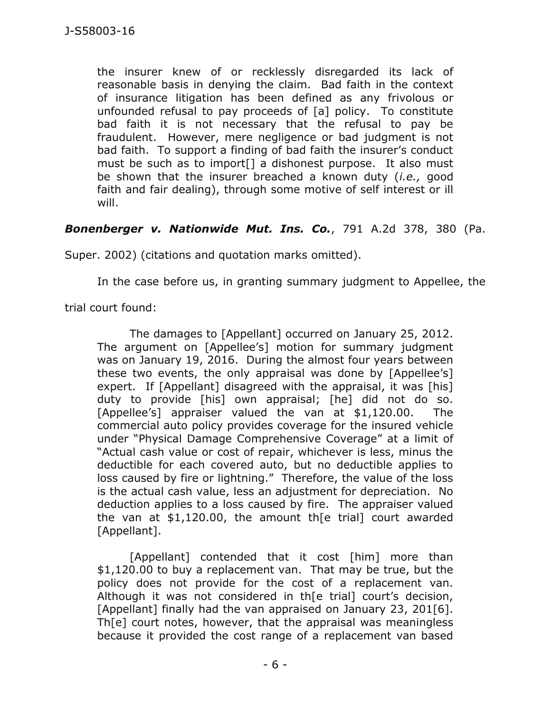the insurer knew of or recklessly disregarded its lack of reasonable basis in denying the claim. Bad faith in the context of insurance litigation has been defined as any frivolous or unfounded refusal to pay proceeds of [a] policy. To constitute bad faith it is not necessary that the refusal to pay be fraudulent. However, mere negligence or bad judgment is not bad faith. To support a finding of bad faith the insurer's conduct must be such as to import[] a dishonest purpose. It also must be shown that the insurer breached a known duty (*i.e.,* good faith and fair dealing), through some motive of self interest or ill will.

## *Bonenberger v. Nationwide Mut. Ins. Co.*, 791 A.2d 378, 380 (Pa.

Super. 2002) (citations and quotation marks omitted).

In the case before us, in granting summary judgment to Appellee, the

trial court found:

The damages to [Appellant] occurred on January 25, 2012. The argument on [Appellee's] motion for summary judgment was on January 19, 2016. During the almost four years between these two events, the only appraisal was done by [Appellee's] expert. If [Appellant] disagreed with the appraisal, it was [his] duty to provide [his] own appraisal; [he] did not do so. [Appellee's] appraiser valued the van at \$1,120.00. The commercial auto policy provides coverage for the insured vehicle under "Physical Damage Comprehensive Coverage" at a limit of "Actual cash value or cost of repair, whichever is less, minus the deductible for each covered auto, but no deductible applies to loss caused by fire or lightning." Therefore, the value of the loss is the actual cash value, less an adjustment for depreciation. No deduction applies to a loss caused by fire. The appraiser valued the van at \$1,120.00, the amount th[e trial] court awarded [Appellant].

[Appellant] contended that it cost [him] more than \$1,120.00 to buy a replacement van. That may be true, but the policy does not provide for the cost of a replacement van. Although it was not considered in th[e trial] court's decision, [Appellant] finally had the van appraised on January 23, 201[6]. Th[e] court notes, however, that the appraisal was meaningless because it provided the cost range of a replacement van based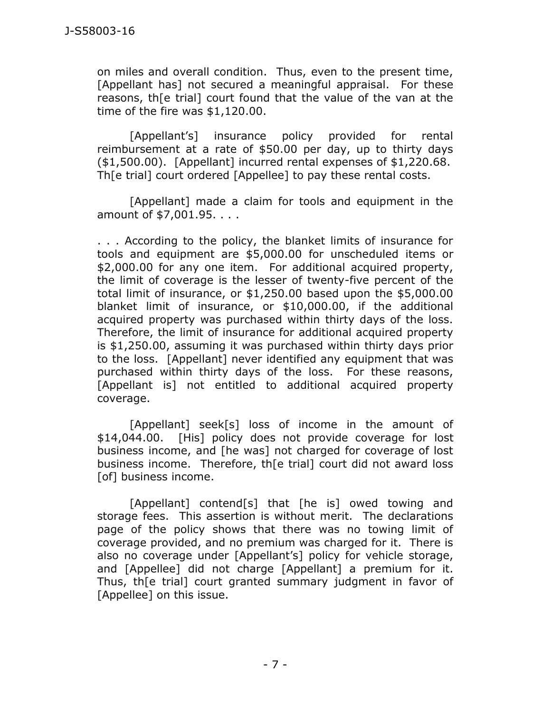on miles and overall condition. Thus, even to the present time, [Appellant has] not secured a meaningful appraisal. For these reasons, th[e trial] court found that the value of the van at the time of the fire was \$1,120.00.

[Appellant's] insurance policy provided for rental reimbursement at a rate of \$50.00 per day, up to thirty days (\$1,500.00). [Appellant] incurred rental expenses of \$1,220.68. Th[e trial] court ordered [Appellee] to pay these rental costs.

[Appellant] made a claim for tools and equipment in the amount of \$7,001.95. . . .

. . . According to the policy, the blanket limits of insurance for tools and equipment are \$5,000.00 for unscheduled items or \$2,000.00 for any one item. For additional acquired property, the limit of coverage is the lesser of twenty-five percent of the total limit of insurance, or \$1,250.00 based upon the \$5,000.00 blanket limit of insurance, or \$10,000.00, if the additional acquired property was purchased within thirty days of the loss. Therefore, the limit of insurance for additional acquired property is \$1,250.00, assuming it was purchased within thirty days prior to the loss. [Appellant] never identified any equipment that was purchased within thirty days of the loss. For these reasons, [Appellant is] not entitled to additional acquired property coverage.

[Appellant] seek[s] loss of income in the amount of \$14,044.00. [His] policy does not provide coverage for lost business income, and [he was] not charged for coverage of lost business income. Therefore, th[e trial] court did not award loss [of] business income.

[Appellant] contend[s] that [he is] owed towing and storage fees. This assertion is without merit. The declarations page of the policy shows that there was no towing limit of coverage provided, and no premium was charged for it. There is also no coverage under [Appellant's] policy for vehicle storage, and [Appellee] did not charge [Appellant] a premium for it. Thus, th[e trial] court granted summary judgment in favor of [Appellee] on this issue.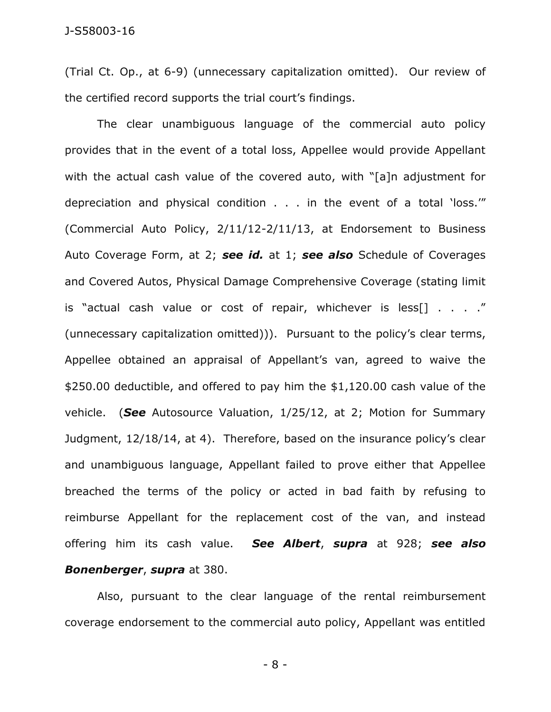(Trial Ct. Op., at 6-9) (unnecessary capitalization omitted). Our review of the certified record supports the trial court's findings.

The clear unambiguous language of the commercial auto policy provides that in the event of a total loss, Appellee would provide Appellant with the actual cash value of the covered auto, with "[a]n adjustment for depreciation and physical condition . . . in the event of a total 'loss.'" (Commercial Auto Policy, 2/11/12-2/11/13, at Endorsement to Business Auto Coverage Form, at 2; *see id.* at 1; *see also* Schedule of Coverages and Covered Autos, Physical Damage Comprehensive Coverage (stating limit is "actual cash value or cost of repair, whichever is less[] . . . ." (unnecessary capitalization omitted))). Pursuant to the policy's clear terms, Appellee obtained an appraisal of Appellant's van, agreed to waive the \$250.00 deductible, and offered to pay him the \$1,120.00 cash value of the vehicle. (*See* Autosource Valuation, 1/25/12, at 2; Motion for Summary Judgment, 12/18/14, at 4). Therefore, based on the insurance policy's clear and unambiguous language, Appellant failed to prove either that Appellee breached the terms of the policy or acted in bad faith by refusing to reimburse Appellant for the replacement cost of the van, and instead offering him its cash value. *See Albert*, *supra* at 928; *see also Bonenberger*, *supra* at 380.

Also, pursuant to the clear language of the rental reimbursement coverage endorsement to the commercial auto policy, Appellant was entitled

- 8 -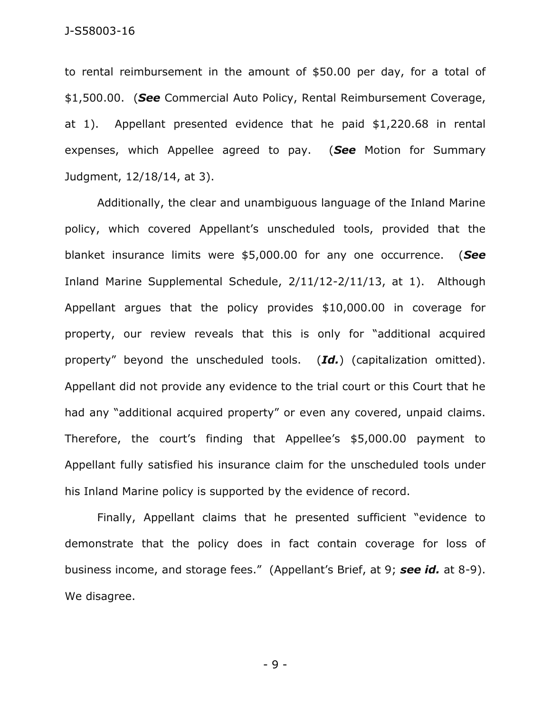to rental reimbursement in the amount of \$50.00 per day, for a total of \$1,500.00. (*See* Commercial Auto Policy, Rental Reimbursement Coverage, at 1). Appellant presented evidence that he paid \$1,220.68 in rental expenses, which Appellee agreed to pay. (*See* Motion for Summary Judgment, 12/18/14, at 3).

Additionally, the clear and unambiguous language of the Inland Marine policy, which covered Appellant's unscheduled tools, provided that the blanket insurance limits were \$5,000.00 for any one occurrence. (*See* Inland Marine Supplemental Schedule, 2/11/12-2/11/13, at 1). Although Appellant argues that the policy provides \$10,000.00 in coverage for property, our review reveals that this is only for "additional acquired property" beyond the unscheduled tools. (*Id.*) (capitalization omitted). Appellant did not provide any evidence to the trial court or this Court that he had any "additional acquired property" or even any covered, unpaid claims. Therefore, the court's finding that Appellee's \$5,000.00 payment to Appellant fully satisfied his insurance claim for the unscheduled tools under his Inland Marine policy is supported by the evidence of record.

Finally, Appellant claims that he presented sufficient "evidence to demonstrate that the policy does in fact contain coverage for loss of business income, and storage fees." (Appellant's Brief, at 9; *see id.* at 8-9). We disagree.

- 9 -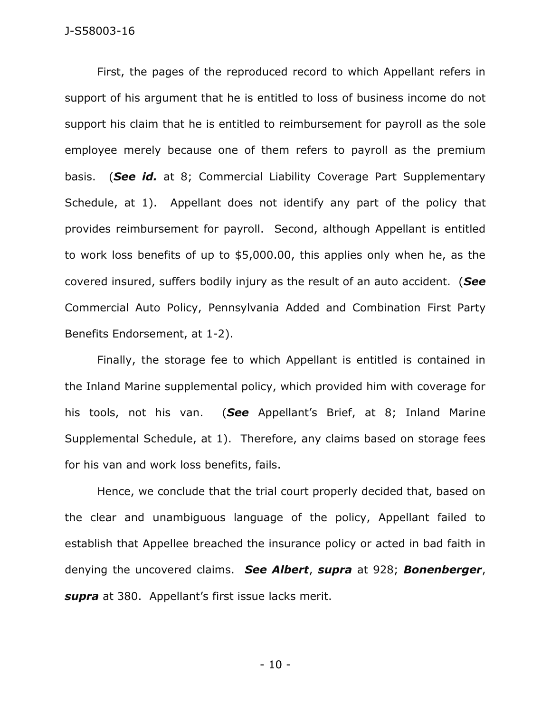## J-S58003-16

First, the pages of the reproduced record to which Appellant refers in support of his argument that he is entitled to loss of business income do not support his claim that he is entitled to reimbursement for payroll as the sole employee merely because one of them refers to payroll as the premium basis. (*See id.* at 8; Commercial Liability Coverage Part Supplementary Schedule, at 1). Appellant does not identify any part of the policy that provides reimbursement for payroll. Second, although Appellant is entitled to work loss benefits of up to \$5,000.00, this applies only when he, as the covered insured, suffers bodily injury as the result of an auto accident. (*See*  Commercial Auto Policy, Pennsylvania Added and Combination First Party Benefits Endorsement, at 1-2).

Finally, the storage fee to which Appellant is entitled is contained in the Inland Marine supplemental policy, which provided him with coverage for his tools, not his van. (*See* Appellant's Brief, at 8; Inland Marine Supplemental Schedule, at 1). Therefore, any claims based on storage fees for his van and work loss benefits, fails.

Hence, we conclude that the trial court properly decided that, based on the clear and unambiguous language of the policy, Appellant failed to establish that Appellee breached the insurance policy or acted in bad faith in denying the uncovered claims. *See Albert*, *supra* at 928; *Bonenberger*, *supra* at 380. Appellant's first issue lacks merit.

- 10 -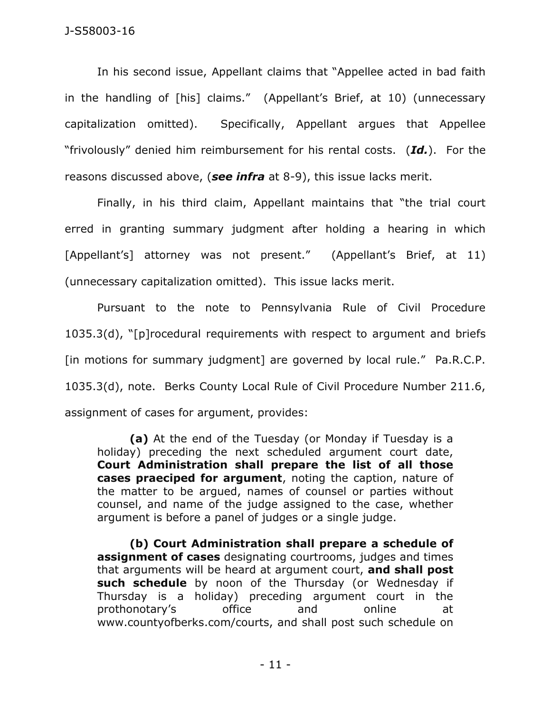In his second issue, Appellant claims that "Appellee acted in bad faith in the handling of [his] claims." (Appellant's Brief, at 10) (unnecessary capitalization omitted). Specifically, Appellant argues that Appellee "frivolously" denied him reimbursement for his rental costs. (*Id.*). For the reasons discussed above, (*see infra* at 8-9), this issue lacks merit.

Finally, in his third claim, Appellant maintains that "the trial court erred in granting summary judgment after holding a hearing in which [Appellant's] attorney was not present." (Appellant's Brief, at 11) (unnecessary capitalization omitted). This issue lacks merit.

Pursuant to the note to Pennsylvania Rule of Civil Procedure 1035.3(d), "[p]rocedural requirements with respect to argument and briefs [in motions for summary judgment] are governed by local rule." Pa.R.C.P. 1035.3(d), note. Berks County Local Rule of Civil Procedure Number 211.6, assignment of cases for argument, provides:

**(a)** At the end of the Tuesday (or Monday if Tuesday is a holiday) preceding the next scheduled argument court date, **Court Administration shall prepare the list of all those cases praeciped for argument**, noting the caption, nature of the matter to be argued, names of counsel or parties without counsel, and name of the judge assigned to the case, whether argument is before a panel of judges or a single judge.

**(b) Court Administration shall prepare a schedule of assignment of cases** designating courtrooms, judges and times that arguments will be heard at argument court, **and shall post such schedule** by noon of the Thursday (or Wednesday if Thursday is a holiday) preceding argument court in the prothonotary's office and online at www.countyofberks.com/courts, and shall post such schedule on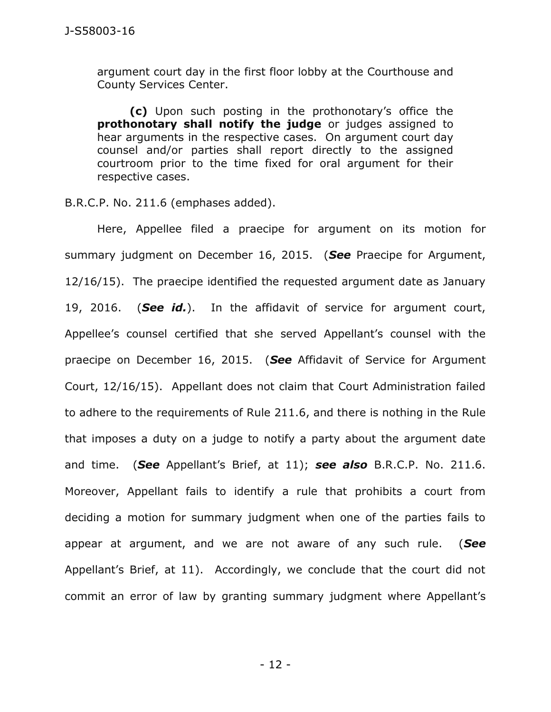argument court day in the first floor lobby at the Courthouse and County Services Center.

**(c)** Upon such posting in the prothonotary's office the **prothonotary shall notify the judge** or judges assigned to hear arguments in the respective cases. On argument court day counsel and/or parties shall report directly to the assigned courtroom prior to the time fixed for oral argument for their respective cases.

B.R.C.P. No. 211.6 (emphases added).

Here, Appellee filed a praecipe for argument on its motion for summary judgment on December 16, 2015. (*See* Praecipe for Argument, 12/16/15). The praecipe identified the requested argument date as January 19, 2016. (*See id.*). In the affidavit of service for argument court, Appellee's counsel certified that she served Appellant's counsel with the praecipe on December 16, 2015. (*See* Affidavit of Service for Argument Court, 12/16/15). Appellant does not claim that Court Administration failed to adhere to the requirements of Rule 211.6, and there is nothing in the Rule that imposes a duty on a judge to notify a party about the argument date and time. (*See* Appellant's Brief, at 11); *see also* B.R.C.P. No. 211.6. Moreover, Appellant fails to identify a rule that prohibits a court from deciding a motion for summary judgment when one of the parties fails to appear at argument, and we are not aware of any such rule. (*See*  Appellant's Brief, at 11). Accordingly, we conclude that the court did not commit an error of law by granting summary judgment where Appellant's